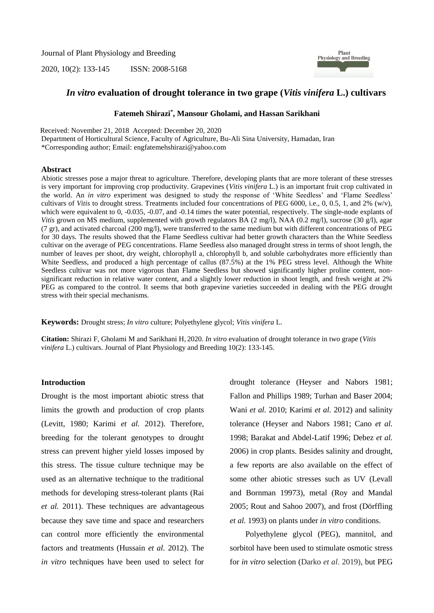Journal of Plant Physiology and Breeding

2020, 10(2): 133-145 ISSN: 2008-5168



## *In vitro* **evaluation of drought tolerance in two grape (***Vitis vinifera* **L.) cultivars**

### **Fatemeh Shirazi\* , Mansour Gholami, and Hassan Sarikhani**

Received: November 21, 2018 Accepted: December 20, 2020 Department of Horticultural Science, Faculty of Agriculture, Bu-Ali Sina University, Hamadan, Iran \*Corresponding author; Email[: engfatemehshirazi@yahoo.com](mailto:engfatemehshirazi@yahoo.com)

### **Abstract**

Abiotic stresses pose a major threat to agriculture. Therefore, developing plants that are more tolerant of these stresses is very important for improving crop productivity. Grapevines (*Vitis vinifera* L.) is an important fruit crop cultivated in the world. An *in vitro* experiment was designed to study the response of 'White Seedless' and 'Flame Seedless' cultivars of *Vitis* to drought stress. Treatments included four concentrations of PEG 6000, i.e., 0, 0.5, 1, and 2% (w/v), which were equivalent to 0, -0.035, -0.07, and -0.14 times the water potential, respectively. The single-node explants of *Vitis* grown on MS medium, supplemented with growth regulators BA (2 mg/l), NAA (0.2 mg/l), sucrose (30 g/l), agar  $(7 \text{ gr})$ , and activated charcoal  $(200 \text{ mg/l})$ , were transferred to the same medium but with different concentrations of PEG for 30 days. The results showed that the Flame Seedless cultivar had better growth characters than the White Seedless cultivar on the average of PEG concentrations. Flame Seedless also managed drought stress in terms of shoot length, the number of leaves per shoot, dry weight, chlorophyll a, chlorophyll b, and soluble carbohydrates more efficiently than White Seedless, and produced a high percentage of callus (87.5%) at the 1% PEG stress level. Although the White Seedless cultivar was not more vigorous than Flame Seedless but showed significantly higher proline content, nonsignificant reduction in relative water content, and a slightly lower reduction in shoot length, and fresh weight at 2% PEG as compared to the control. It seems that both grapevine varieties succeeded in dealing with the PEG drought stress with their special mechanisms.

**Keywords:** Drought stress; *In vitro* culture; Polyethylene glycol; *Vitis vinifera* L.

**Citation:** Shirazi F, Gholami M and Sarikhani H, 2020. *In vitro* evaluation of drought tolerance in two grape (*Vitis vinifera* L.) cultivars. Journal of Plant Physiology and Breeding 10(2): 133-145.

#### **Introduction**

Drought is the most important abiotic stress that limits the growth and production of crop plants (Levitt, 1980; Karimi *et al.* 2012). Therefore, breeding for the tolerant genotypes to drought stress can prevent higher yield losses imposed by this stress. The tissue culture technique may be used as an alternative technique to the traditional methods for developing stress-tolerant plants (Rai *et al.* 2011). These techniques are advantageous because they save time and space and researchers can control more efficiently the environmental factors and treatments (Hussain *et al.* 2012). The *in vitro* techniques have been used to select for drought tolerance (Heyser and Nabors 1981; Fallon and Phillips 1989; Turhan and Baser 2004; Wani *et al.* 2010; Karimi *et al.* 2012) and salinity tolerance (Heyser and Nabors 1981; Cano *et al.* 1998; Barakat and Abdel-Latif 1996; Debez *et al.* 2006) in crop plants. Besides salinity and drought, a few reports are also available on the effect of some other abiotic stresses such as UV (Levall and Bornman 19973), metal (Roy and Mandal 2005; Rout and Sahoo 2007), and frost (Dörffling *et al.* 1993) on plants under *in vitro* conditions.

Polyethylene glycol (PEG), mannitol, and sorbitol have been used to stimulate osmotic stress for *in vitro* selection (Darko *et al*. 2019), but PEG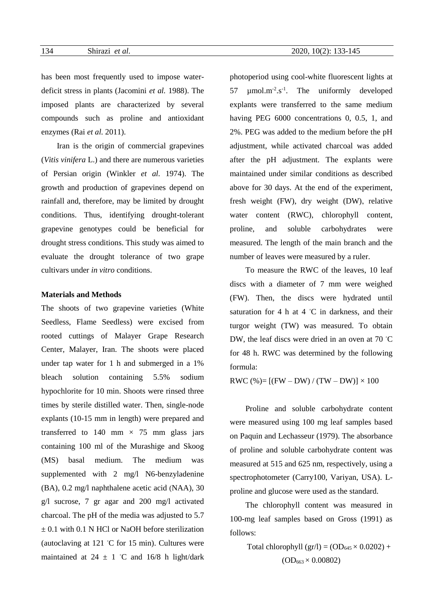has been most frequently used to impose waterdeficit stress in plants (Jacomini *et al.* 1988). The imposed plants are characterized by several compounds such as proline and antioxidant enzymes (Rai *et al.* 2011).

Iran is the origin of commercial grapevines (*Vitis vinifera* L.) and there are numerous varieties of Persian origin (Winkler *et al.* 1974). The growth and production of grapevines depend on rainfall and, therefore, may be limited by drought conditions. Thus, identifying drought-tolerant grapevine genotypes could be beneficial for drought stress conditions. This study was aimed to evaluate the drought tolerance of two grape cultivars under *in vitro* conditions.

### **Materials and Methods**

The shoots of two grapevine varieties (White Seedless, Flame Seedless) were excised from rooted cuttings of Malayer Grape Research Center, Malayer, Iran. The shoots were placed under tap water for 1 h and submerged in a 1% bleach solution containing 5.5% sodium hypochlorite for 10 min. Shoots were rinsed three times by sterile distilled water. Then, single-node explants (10-15 mm in length) were prepared and transferred to 140 mm  $\times$  75 mm glass jars containing 100 ml of the Murashige and Skoog (MS) basal medium. The medium was supplemented with 2 mg/l N6-benzyladenine (BA), 0.2 mg/l naphthalene acetic acid (NAA), 30 g/l sucrose, 7 gr agar and 200 mg/l activated charcoal. The pH of the media was adjusted to 5.7  $\pm$  0.1 with 0.1 N HCl or NaOH before sterilization (autoclaving at 121  $°C$  for 15 min). Cultures were maintained at  $24 \pm 1$  °C and 16/8 h light/dark photoperiod using cool-white fluorescent lights at 57  $\mu$ mol.m<sup>-2</sup>.s<sup>-1</sup>. The uniformly developed explants were transferred to the same medium having PEG 6000 concentrations 0, 0.5, 1, and 2%. PEG was added to the medium before the pH adjustment, while activated charcoal was added after the pH adjustment. The explants were maintained under similar conditions as described above for 30 days. At the end of the experiment, fresh weight (FW), dry weight (DW), relative water content (RWC), chlorophyll content, proline, and soluble carbohydrates were measured. The length of the main branch and the number of leaves were measured by a ruler.

To measure the RWC of the leaves, 10 leaf discs with a diameter of 7 mm were weighed (FW). Then, the discs were hydrated until saturation for 4 h at  $4 °C$  in darkness, and their turgor weight (TW) was measured. To obtain DW, the leaf discs were dried in an oven at 70 ◦C for 48 h. RWC was determined by the following formula:

RWC  $% = [(FW - DW) / (TW - DW)] \times 100$ 

Proline and soluble carbohydrate content were measured using 100 mg leaf samples based on Paquin and Lechasseur (1979). The absorbance of proline and soluble carbohydrate content was measured at 515 and 625 nm, respectively, using a spectrophotometer (Carry100, Variyan, USA). Lproline and glucose were used as the standard.

The chlorophyll content was measured in 100-mg leaf samples based on Gross (1991) as follows:

> Total chlorophyll  $(\text{gr/l}) = (\text{OD}_{645} \times 0.0202) +$  $(OD_{663} \times 0.00802)$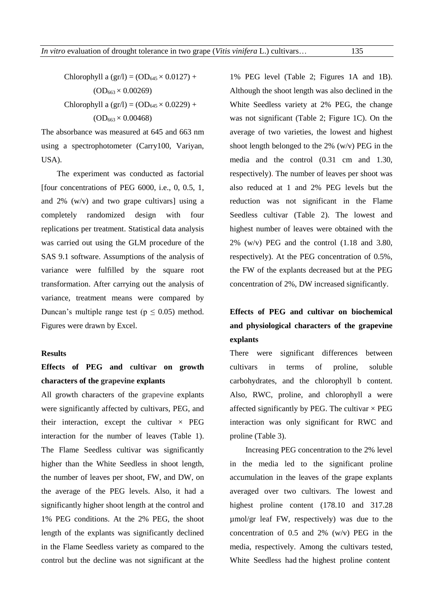Chlorophyll a  $(gr/l) = (OD_{645} \times 0.0127) +$  $(OD_{663} \times 0.00269)$ Chlorophyll a  $(gr/l) = (OD_{645} \times 0.0229) +$  $(OD_{663} \times 0.00468)$ 

The absorbance was measured at 645 and 663 nm using a spectrophotometer (Carry100, Variyan, USA).

The experiment was conducted as factorial [four concentrations of PEG  $6000$ , i.e., 0, 0.5, 1, and 2% (w/v) and two grape cultivars] using a completely randomized design with four replications per treatment. Statistical data analysis was carried out using the GLM procedure of the SAS 9.1 software. Assumptions of the analysis of variance were fulfilled by the square root transformation. After carrying out the analysis of variance, treatment means were compared by Duncan's multiple range test ( $p \le 0.05$ ) method. Figures were drawn by Excel.

### **Results**

# **Effects of PEG and cultivar on growth characters of the grapevine explants**

All growth characters of the grapevine explants were significantly affected by cultivars, PEG, and their interaction, except the cultivar  $\times$  PEG interaction for the number of leaves (Table 1). The Flame Seedless cultivar was significantly higher than the White Seedless in shoot length, the number of leaves per shoot, FW, and DW, on the average of the PEG levels. Also, it had a significantly higher shoot length at the control and 1% PEG conditions. At the 2% PEG, the shoot length of the explants was significantly declined in the Flame Seedless variety as compared to the control but the decline was not significant at the 1% PEG level (Table 2; Figures 1A and 1B). Although the shoot length was also declined in the White Seedless variety at 2% PEG, the change was not significant (Table 2; Figure 1C). On the average of two varieties, the lowest and highest shoot length belonged to the 2% (w/v) PEG in the media and the control (0.31 cm and 1.30, respectively). The number of leaves per shoot was also reduced at 1 and 2% PEG levels but the reduction was not significant in the Flame Seedless cultivar (Table 2). The lowest and highest number of leaves were obtained with the  $2\%$  (w/v) PEG and the control (1.18 and 3.80, respectively). At the PEG concentration of 0.5%, the FW of the explants decreased but at the PEG concentration of 2%, DW increased significantly.

# **Effects of PEG and cultivar on biochemical and physiological characters of the grapevine explants**

There were significant differences between cultivars in terms of proline, soluble carbohydrates, and the chlorophyll b content. Also, RWC, proline, and chlorophyll a were affected significantly by PEG. The cultivar  $\times$  PEG interaction was only significant for RWC and proline (Table 3).

Increasing PEG concentration to the 2% level in the media led to the significant proline accumulation in the leaves of the grape explants averaged over two cultivars. The lowest and highest proline content (178.10 and 317.28) µmol/gr leaf FW, respectively) was due to the concentration of  $0.5$  and  $2\%$  (w/v) PEG in the media, respectively. Among the cultivars tested, White Seedless had the highest proline content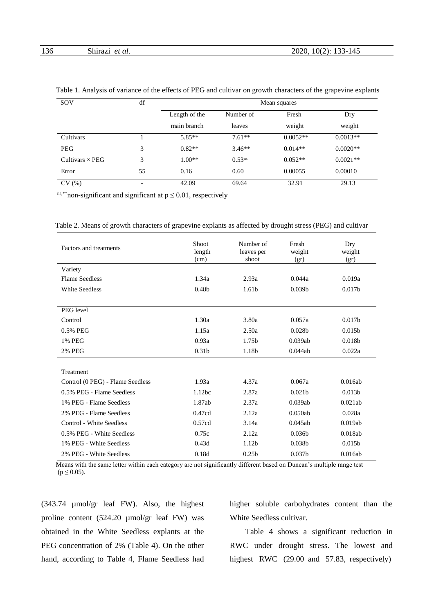| SOV                    | df | Mean squares  |                    |            |            |  |
|------------------------|----|---------------|--------------------|------------|------------|--|
|                        |    | Length of the | Number of          | Fresh      | Dry        |  |
|                        |    | main branch   | leaves             | weight     | weight     |  |
| Cultivars              |    | $5.85**$      | $7.61**$           | $0.0052**$ | $0.0013**$ |  |
| <b>PEG</b>             | 3  | $0.82**$      | $3.46**$           | $0.014**$  | $0.0020**$ |  |
| Cultivars $\times$ PEG | 3  | $1.00**$      | 0.53 <sup>ns</sup> | $0.052**$  | $0.0021**$ |  |
| Error                  | 55 | 0.16          | 0.60               | 0.00055    | 0.00010    |  |
| CV(%)                  | -  | 42.09         | 69.64              | 32.91      | 29.13      |  |

<sup>ns,\*\*</sup>non-significant and significant at  $p \le 0.01$ , respectively

|  |  |  | Table 2. Means of growth characters of grapevine explants as affected by drought stress (PEG) and cultivar |  |
|--|--|--|------------------------------------------------------------------------------------------------------------|--|
|  |  |  |                                                                                                            |  |

| Factors and treatments           | Shoot<br>length<br>(cm) | Number of<br>leaves per<br>shoot | Fresh<br>weight<br>(gr) | Dry<br>weight<br>(gr) |
|----------------------------------|-------------------------|----------------------------------|-------------------------|-----------------------|
| Variety                          |                         |                                  |                         |                       |
| <b>Flame Seedless</b>            | 1.34a                   | 2.93a                            | 0.044a                  | 0.019a                |
| <b>White Seedless</b>            | 0.48 <sub>b</sub>       | 1.61b                            | 0.039 <sub>b</sub>      | 0.017 <sub>b</sub>    |
|                                  |                         |                                  |                         |                       |
| PEG level                        |                         |                                  |                         |                       |
| Control                          | 1.30a                   | 3.80a                            | 0.057a                  | 0.017 <sub>b</sub>    |
| 0.5% PEG                         | 1.15a                   | 2.50a                            | 0.028 <sub>b</sub>      | 0.015 <sub>b</sub>    |
| 1% PEG                           | 0.93a                   | 1.75 <sub>b</sub>                | 0.039ab                 | 0.018 <sub>b</sub>    |
| <b>2% PEG</b>                    | 0.31 <sub>b</sub>       | 1.18 <sub>b</sub>                | 0.044ab                 | 0.022a                |
|                                  |                         |                                  |                         |                       |
| Treatment                        |                         |                                  |                         |                       |
| Control (0 PEG) - Flame Seedless | 1.93a                   | 4.37a                            | 0.067a                  | 0.016ab               |
| 0.5% PEG - Flame Seedless        | 1.12bc                  | 2.87a                            | 0.021 <sub>b</sub>      | 0.013 <sub>b</sub>    |
| 1% PEG - Flame Seedless          | 1.87ab                  | 2.37a                            | 0.039ab                 | 0.021ab               |
| 2% PEG - Flame Seedless          | 0.47cd                  | 2.12a                            | 0.050ab                 | 0.028a                |
| <b>Control - White Seedless</b>  | 0.57cd                  | 3.14a                            | 0.045ab                 | 0.019ab               |
| 0.5% PEG - White Seedless        | 0.75c                   | 2.12a                            | 0.036 <sub>b</sub>      | 0.018ab               |
| 1% PEG - White Seedless          | 0.43d                   | 1.12 <sub>b</sub>                | 0.038 <sub>b</sub>      | 0.015 <sub>b</sub>    |
| 2% PEG - White Seedless          | 0.18d                   | 0.25 <sub>b</sub>                | 0.037 <sub>b</sub>      | 0.016ab               |

 Means with the same letter within each category are not significantly different based on Duncan's multiple range test  $(p \le 0.05)$ .

(343.74 µmol/gr leaf FW). Also, the highest proline content (524.20 µmol/gr leaf FW) was obtained in the White Seedless explants at the PEG concentration of 2% (Table 4). On the other hand, according to Table 4, Flame Seedless had higher soluble carbohydrates content than the White Seedless cultivar.

Table 4 shows a significant reduction in RWC under drought stress. The lowest and highest RWC (29.00 and 57.83, respectively)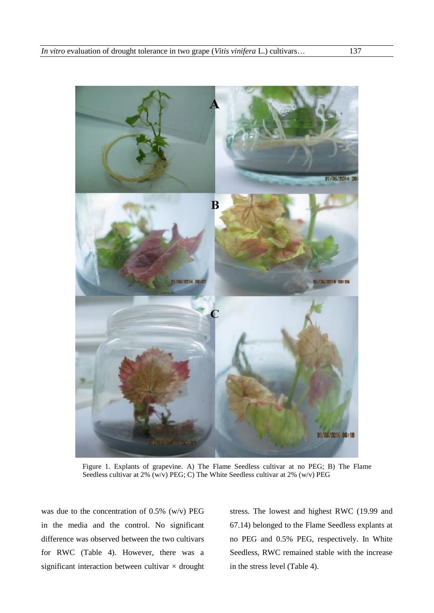

Figure 1. Explants of grapevine. A) The Flame Seedless cultivar at no PEG; B) The Flame Seedless cultivar at 2% (w/v) PEG; C) The White Seedless cultivar at 2% (w/v) PEG

was due to the concentration of 0.5% (w/v) PEG in the media and the control. No significant difference was observed between the two cultivars for RWC (Table 4). However, there was a significant interaction between cultivar  $\times$  drought stress. The lowest and highest RWC (19.99 and 67.14) belonged to the Flame Seedless explants at no PEG and 0.5% PEG, respectively. In White Seedless, RWC remained stable with the increase in the stress level (Table 4).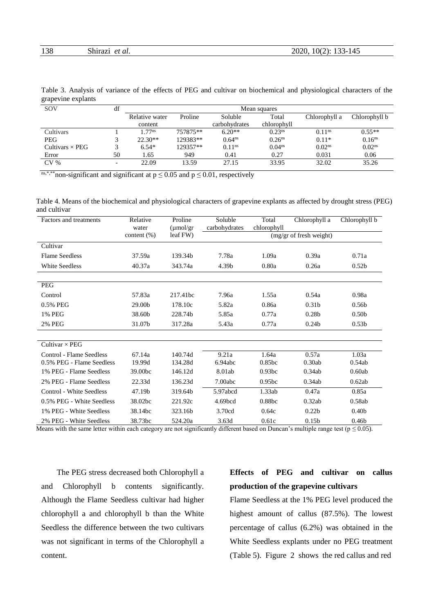| 138 | $\sim$ 1<br>`al.<br>et<br>Snifazi<br>. | 2020,<br>-145<br>$10(2)$ :<br>.<br>_____<br>$\sim$ |
|-----|----------------------------------------|----------------------------------------------------|
|     |                                        |                                                    |

| $\epsilon$ rapovino capianto |    |                     |          |                    |                    |                    |                    |
|------------------------------|----|---------------------|----------|--------------------|--------------------|--------------------|--------------------|
| SOV                          | df | Mean squares        |          |                    |                    |                    |                    |
|                              |    | Relative water      | Proline  | Soluble            | Total              | Chlorophyll a      | Chlorophyll b      |
|                              |    | content             |          | carbohydrates      | chlorophyll        |                    |                    |
| Cultivars                    |    | $.77$ <sup>ns</sup> | 757875** | $6.20**$           | 0.23 <sup>ns</sup> | 0.11 <sup>ns</sup> | $0.55**$           |
| <b>PEG</b>                   |    | $22.30**$           | 129383** | $0.64^{ns}$        | 0.26 <sup>ns</sup> | $0.11*$            | 0.16 <sup>ns</sup> |
| Cultivars $\times$ PEG       |    | $6.54*$             | 129357** | 0.11 <sup>ns</sup> | 0.04 <sup>ns</sup> | 0.02 <sup>ns</sup> | 0.02 <sup>ns</sup> |
| Error                        | 50 | l.65                | 949      | 0.41               | 0.27               | 0.031              | 0.06               |

Table 3. Analysis of variance of the effects of PEG and cultivar on biochemical and physiological characters of the grapevine explants

<sup>ns,\*,\*\*</sup>non-significant and significant at  $p \le 0.05$  and  $p \le 0.01$ , respectively

Table 4. Means of the biochemical and physiological characters of grapevine explants as affected by drought stress (PEG) and cultivar

CV % - 22.09 13.59 27.15 33.95 32.02 35.26

| Factors and treatments    | Relative<br>water<br>content $(\% )$ | Proline<br>$\mu$ mol/gr<br>leaf FW) | Soluble<br>carbohydrates | Total<br>chlorophyll | Chlorophyll a<br>(mg/gr of fresh weight) | Chlorophyll b     |
|---------------------------|--------------------------------------|-------------------------------------|--------------------------|----------------------|------------------------------------------|-------------------|
| Cultivar                  |                                      |                                     |                          |                      |                                          |                   |
| <b>Flame Seedless</b>     | 37.59a                               | 139.34b                             | 7.78a                    | 1.09a                | 0.39a                                    | 0.71a             |
| <b>White Seedless</b>     | 40.37a                               | 343.74a                             | 4.39b                    | 0.80a                | 0.26a                                    | 0.52 <sub>b</sub> |
|                           |                                      |                                     |                          |                      |                                          |                   |
| PEG                       |                                      |                                     |                          |                      |                                          |                   |
| Control                   | 57.83a                               | 217.41bc                            | 7.96a                    | 1.55a                | 0.54a                                    | 0.98a             |
| 0.5% PEG                  | 29.00b                               | 178.10c                             | 5.82a                    | 0.86a                | 0.31 <sub>b</sub>                        | 0.56 <sub>b</sub> |
| 1% PEG                    | 38.60b                               | 228.74b                             | 5.85a                    | 0.77a                | 0.28 <sub>b</sub>                        | 0.50 <sub>b</sub> |
| <b>2% PEG</b>             | 31.07b                               | 317.28a                             | 5.43a                    | 0.77a                | 0.24 <sub>b</sub>                        | 0.53 <sub>b</sub> |
|                           |                                      |                                     |                          |                      |                                          |                   |
| Cultivar $\times$ PEG     |                                      |                                     |                          |                      |                                          |                   |
| Control - Flame Seedless  | 67.14a                               | 140.74d                             | 9.21a                    | 1.64a                | 0.57a                                    | 1.03a             |
| 0.5% PEG - Flame Seedless | 19.99d                               | 134.28d                             | 6.94abc                  | 0.85 <sub>bc</sub>   | 0.30ab                                   | 0.54ab            |
| 1% PEG - Flame Seedless   | 39.00 <sub>bc</sub>                  | 146.12d                             | 8.01ab                   | 0.93 <sub>bc</sub>   | 0.34ab                                   | 0.60ab            |
| 2% PEG - Flame Seedless   | 22.33d                               | 136.23d                             | 7.00abc                  | 0.95bc               | 0.34ab                                   | 0.62ab            |
| Control - White Seedless  | 47.19b                               | 319.64b                             | 5.97abcd                 | 1.33ab               | 0.47a                                    | 0.85a             |
| 0.5% PEG - White Seedless | 38.02bc                              | 221.92c                             | 4.69 <sub>bcd</sub>      | 0.88bc               | 0.32ab                                   | 0.58ab            |
| 1% PEG - White Seedless   | 38.14 <sub>bc</sub>                  | 323.16 <sub>b</sub>                 | 3.70cd                   | 0.64c                | 0.22 <sub>b</sub>                        | 0.40 <sub>b</sub> |
| 2% PEG - White Seedless   | 38.73bc                              | 524.20a                             | 3.63d                    | 0.61c                | 0.15 <sub>b</sub>                        | 0.46 <sub>b</sub> |

Means with the same letter within each category are not significantly different based on Duncan's multiple range test ( $p \le 0.05$ ).

The PEG stress decreased both Chlorophyll a and Chlorophyll b contents significantly. Although the Flame Seedless cultivar had higher chlorophyll a and chlorophyll b than the White Seedless the difference between the two cultivars was not significant in terms of the Chlorophyll a content.

## **Effects of PEG and cultivar on callus production of the grapevine cultivars**

Flame Seedless at the 1% PEG level produced the highest amount of callus (87.5%). The lowest percentage of callus (6.2%) was obtained in the White Seedless explants under no PEG treatment (Table 5). Figure 2 shows the red callus and red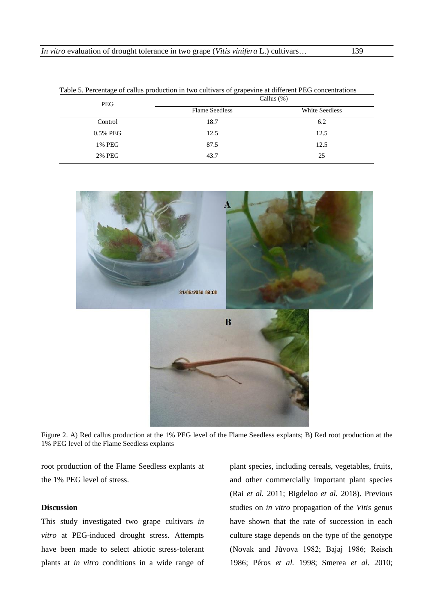| Table 5. Percentage of callus production in two cultivars of grapevine at different PEG concentrations |                       |                |  |  |  |
|--------------------------------------------------------------------------------------------------------|-----------------------|----------------|--|--|--|
| <b>PEG</b>                                                                                             | Callus $(\%)$         |                |  |  |  |
|                                                                                                        | <b>Flame Seedless</b> | White Seedless |  |  |  |
| Control                                                                                                | 18.7                  | 6.2            |  |  |  |
| 0.5% PEG                                                                                               | 12.5                  | 12.5           |  |  |  |
| 1% PEG                                                                                                 | 87.5                  | 12.5           |  |  |  |
| 2% PEG                                                                                                 | 43.7                  | 25             |  |  |  |

Table 5. Percentage of callus production in two cultivars of grapevine at different PEG concentrations



Figure 2. A) Red callus production at the 1% PEG level of the Flame Seedless explants; B) Red root production at the 1% PEG level of the Flame Seedless explants

root production of the Flame Seedless explants at the 1% PEG level of stress.

## **Discussion**

This study investigated two grape cultivars *in vitro* at PEG-induced drought stress. Attempts have been made to select abiotic stress-tolerant plants at *in vitro* conditions in a wide range of plant species, including cereals, vegetables, fruits, and other commercially important plant species (Rai *et al.* 2011; Bigdeloo *et al.* 2018). Previous studies on *in vitro* propagation of the *Vitis* genus have shown that the rate of succession in each culture stage depends on the type of the genotype (Novak and Jůvova 1982; Bajaj 1986; Reisch 1986; Péros *et al.* 1998; Smerea *et al.* 2010;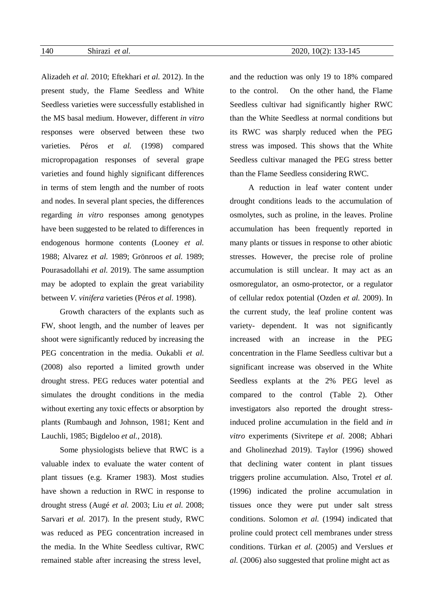Alizadeh *et al.* 2010; Eftekhari *et al.* 2012). In the present study, the Flame Seedless and White Seedless varieties were successfully established in the MS basal medium. However, different *in vitro*  responses were observed between these two varieties. Péros *et al.* (1998) compared micropropagation responses of several grape varieties and found highly significant differences in terms of stem length and the number of roots and nodes. In several plant species, the differences regarding *in vitro* responses among genotypes have been suggested to be related to differences in endogenous hormone contents (Looney *et al.* 1988; Alvarez *et al.* 1989; Grönroos *et al.* 1989; Pourasadollahi *et al.* 2019). The same assumption may be adopted to explain the great variability between *V. vinifera* varieties (Péros *et al.* 1998).

Growth characters of the explants such as FW, shoot length, and the number of leaves per shoot were significantly reduced by increasing the PEG concentration in the media. Oukabli *et al.* (2008) also reported a limited growth under drought stress. PEG reduces water potential and simulates the drought conditions in the media without exerting any toxic effects or absorption by plants (Rumbaugh and Johnson, 1981; Kent and Lauchli, 1985; Bigdeloo *et al.,* 2018).

Some physiologists believe that RWC is a valuable index to evaluate the water content of plant tissues (e.g. Kramer 1983). Most studies have shown a reduction in RWC in response to drought stress (Augé *et al.* 2003; Liu *et al.* 2008; Sarvari *et al.* 2017). In the present study, RWC was reduced as PEG concentration increased in the media. In the White Seedless cultivar, RWC remained stable after increasing the stress level,

and the reduction was only 19 to 18% compared to the control. On the other hand, the Flame Seedless cultivar had significantly higher RWC than the White Seedless at normal conditions but its RWC was sharply reduced when the PEG stress was imposed. This shows that the White Seedless cultivar managed the PEG stress better than the Flame Seedless considering RWC.

A reduction in leaf water content under drought conditions leads to the accumulation of osmolytes, such as proline, in the leaves. Proline accumulation has been frequently reported in many plants or tissues in response to other abiotic stresses. However, the precise role of proline accumulation is still unclear. It may act as an osmoregulator, an osmo-protector, or a regulator of cellular redox potential (Ozden *et al.* 2009). In the current study, the leaf proline content was variety- dependent. It was not significantly increased with an increase in the PEG concentration in the Flame Seedless cultivar but a significant increase was observed in the White Seedless explants at the 2% PEG level as compared to the control (Table 2). Other investigators also reported the drought stressinduced proline accumulation in the field and *in vitro* experiments (Sivritepe *et al.* 2008; Abhari and Gholinezhad 2019). Taylor (1996) showed that declining water content in plant tissues triggers proline accumulation. Also, Trotel *et al.* (1996) indicated the proline accumulation in tissues once they were put under salt stress conditions. Solomon *et al.* (1994) indicated that proline could protect cell membranes under stress conditions. Türkan *et al.* (2005) and Verslues *et al.* (2006) also suggested that proline might act as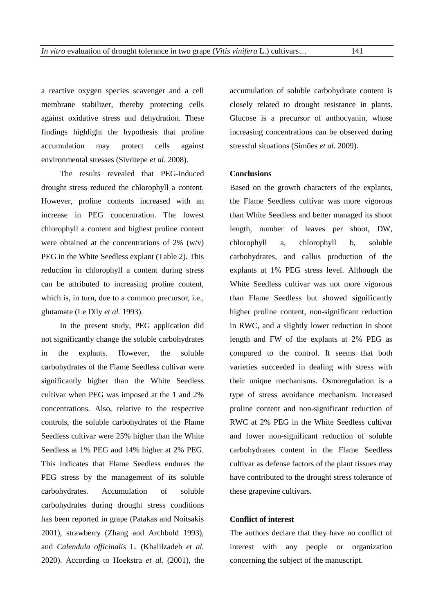a reactive oxygen species scavenger and a cell membrane stabilizer, thereby protecting cells against oxidative stress and dehydration. These findings highlight the hypothesis that proline accumulation may protect cells against environmental stresses (Sivritepe *et al.* 2008).

The results revealed that PEG-induced drought stress reduced the chlorophyll a content. However, proline contents increased with an increase in PEG concentration. The lowest chlorophyll a content and highest proline content were obtained at the concentrations of  $2\%$  (w/v) PEG in the White Seedless explant (Table 2). This reduction in chlorophyll a content during stress can be attributed to increasing proline content, which is, in turn, due to a common precursor, i.e., glutamate (Le Dily *et al.* 1993).

In the present study, PEG application did not significantly change the soluble carbohydrates in the explants. However, the soluble carbohydrates of the Flame Seedless cultivar were significantly higher than the White Seedless cultivar when PEG was imposed at the 1 and 2% concentrations. Also, relative to the respective controls, the soluble carbohydrates of the Flame Seedless cultivar were 25% higher than the White Seedless at 1% PEG and 14% higher at 2% PEG. This indicates that Flame Seedless endures the PEG stress by the management of its soluble carbohydrates. Accumulation of soluble carbohydrates during drought stress conditions has been reported in grape (Patakas and Noitsakis 2001), strawberry (Zhang and Archbold 1993), and *Calendula officinalis* L. (Khalilzadeh *et al.* 2020). According to Hoekstra *et al.* (2001), the accumulation of soluble carbohydrate content is closely related to drought resistance in plants. Glucose is a precursor of anthocyanin, whose increasing concentrations can be observed during stressful situations (Simões *et al.* 2009).

### **Conclusions**

Based on the growth characters of the explants, the Flame Seedless cultivar was more vigorous than White Seedless and better managed its shoot length, number of leaves per shoot, DW, chlorophyll a, chlorophyll b, soluble carbohydrates, and callus production of the explants at 1% PEG stress level. Although the White Seedless cultivar was not more vigorous than Flame Seedless but showed significantly higher proline content, non-significant reduction in RWC, and a slightly lower reduction in shoot length and FW of the explants at 2% PEG as compared to the control. It seems that both varieties succeeded in dealing with stress with their unique mechanisms. Osmoregulation is a type of stress avoidance mechanism. Increased proline content and non-significant reduction of RWC at 2% PEG in the White Seedless cultivar and lower non-significant reduction of soluble carbohydrates content in the Flame Seedless cultivar as defense factors of the plant tissues may have contributed to the drought stress tolerance of these grapevine cultivars.

### **Conflict of interest**

The authors declare that they have no conflict of interest with any people or organization concerning the subject of the manuscript.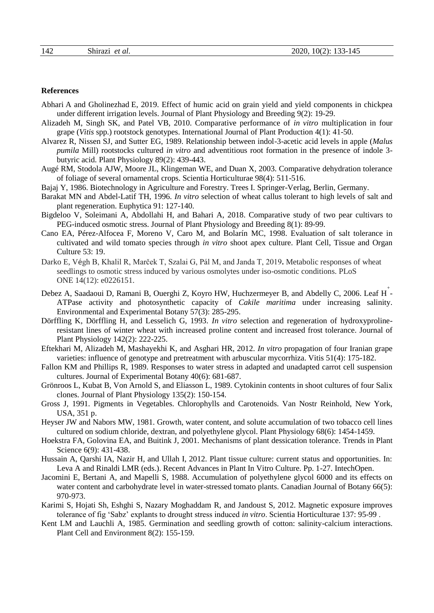### **References**

- [Abhari](https://breeding.tabrizu.ac.ir/?_action=article&au=97521&_au=Abbas++Abhari) A and [Gholinezhad](https://breeding.tabrizu.ac.ir/?_action=article&au=62642&_au=Esmaeil++Gholinezhad) E, 2019. Effect of humic acid on grain yield and yield components in chickpea under different irrigation levels. Journal of Plant Physiology and Breeding [9\(2\)](https://breeding.tabrizu.ac.ir/issue_1214_1217.html): 19-29.
- Alizadeh M, Singh SK, and Patel VB, 2010. Comparative performance of *in vitro* multiplication in four grape (*Vitis* spp.) rootstock genotypes. International Journal of Plant Production 4(1): 41-50.
- Alvarez R, Nissen SJ, and Sutter EG, 1989. Relationship between indol-3-acetic acid levels in apple (*Malus pumila* Mill) rootstocks cultured *in vitro* and adventitious root formation in the presence of indole 3 butyric acid. Plant Physiology 89(2): 439-443.
- Augé RM, Stodola AJW, Moore JL, Klingeman WE, and Duan X, 2003. Comparative dehydration tolerance of foliage of several ornamental crops. Scientia Horticulturae 98(4): 511-516.
- Bajaj Y, 1986. Biotechnology in Agriculture and Forestry. Trees I. Springer-Verlag, Berlin, Germany.
- Barakat MN and Abdel-Latif TH, 1996. *In vitro* selection of wheat callus tolerant to high levels of salt and plant regeneration. Euphytica 91: 127-140.
- [Bigdeloo](https://breeding.tabrizu.ac.ir/?_action=article&au=92318&_au=Vahid++Bigdeloo) V, [Soleimani](https://breeding.tabrizu.ac.ir/?_action=article&au=66132&_au=Ali++Soleimani) A, Abdollahi H, and [Bahari](https://breeding.tabrizu.ac.ir/?_action=article&au=66137&_au=Abbas++Bahari) A, 2018. Comparative study of two pear cultivars to PEG-induced osmotic stress. Journal of Plant Physiology and Breeding [8\(1\)](https://breeding.tabrizu.ac.ir/issue_1214_1217.html): 89-99.
- Cano EA, Pérez-Alfocea F, Moreno V, Caro M, and Bolarín MC, 1998. Evaluation of salt tolerance in cultivated and wild tomato species through *in vitro* shoot apex culture. Plant Cell, Tissue and Organ Culture 53: 19.
- Darko E, Végh B, Khalil R, Marček T, Szalai G, Pál M, and Janda T, 2019**.** Metabolic responses of wheat seedlings to osmotic stress induced by various osmolytes under iso-osmotic conditions. PLoS ONE 14(12): e0226151.
- Debez A, Saadaoui D, Ramani B, Ouerghi Z, Koyro HW, Huchzermeyer B, and Abdelly C, 2006. Leaf H<sup>+</sup>-ATPase activity and photosynthetic capacity of *Cakile maritima* under increasing salinity. Environmental and Experimental Botany 57(3): 285-295.
- Dörffling K, Dörffling H, and Lesselich G, 1993. *In vitro* selection and regeneration of hydroxyprolineresistant lines of winter wheat with increased proline content and increased frost tolerance. Journal of Plant Physiology 142(2): 222-225.
- Eftekhari M, Alizadeh M, Mashayekhi K, and Asghari HR, 2012. *In vitro* propagation of four Iranian grape varieties: influence of genotype and pretreatment with arbuscular mycorrhiza. Vitis 51(4): 175-182.
- Fallon KM and Phillips R, 1989. Responses to water stress in adapted and unadapted carrot cell suspension cultures. Journal of Experimental Botany 40(6): 681-687.
- Grönroos L, Kubat B, Von Arnold S, and Eliasson L, 1989. Cytokinin contents in shoot cultures of four Salix clones. Journal of Plant Physiology 135(2): 150-154.
- Gross J, 1991. Pigments in Vegetables. Chlorophylls and Carotenoids. Van Nostr Reinhold, New York, USA, 351 p.
- Heyser JW and Nabors MW, 1981. Growth, water content, and solute accumulation of two tobacco cell lines cultured on sodium chloride, dextran, and polyethylene glycol. Plant Physiology 68(6): 1454-1459.
- Hoekstra FA, Golovina EA, and Buitink J, 2001. Mechanisms of plant dessication tolerance. Trends in Plant Science 6(9): 431-438.
- Hussain A, Qarshi IA, Nazir H, and Ullah I, 2012. Plant tissue culture: current status and opportunities. In: Leva A and Rinaldi LMR (eds.). Recent Advances in Plant In Vitro Culture. Pp. 1-27. IntechOpen.
- Jacomini E, Bertani A, and Mapelli S, 1988. Accumulation of polyethylene glycol 6000 and its effects on water content and carbohydrate level in water-stressed tomato plants. Canadian Journal of Botany 66(5): 970-973.
- Karimi S, Hojati Sh, Eshghi S, Nazary Moghaddam R, and Jandoust S, 2012. Magnetic exposure improves tolerance of fig 'Sabz' explants to drought stress induced *in vitro*. Scientia Horticulturae 137: 95-99 .
- Kent LM and Lauchli A, 1985. Germination and seedling growth of cotton: salinity-calcium interactions. Plant Cell and Environment 8(2): 155-159.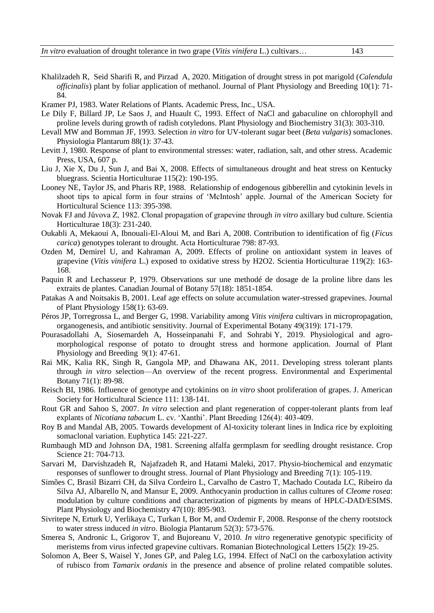- [Khalilzadeh](https://breeding.tabrizu.ac.ir/?_action=article&au=62640&_au=Razieh++Khalilzadeh) R, [Seid Sharifi](https://breeding.tabrizu.ac.ir/?_action=article&au=25719&_au=Raouf++Seid+Sharifi) R, and [Pirzad](https://breeding.tabrizu.ac.ir/?_action=article&au=29115&_au=Alireza++Pirzad) A, 2020. Mitigation of drought stress in pot marigold (*Calendula officinalis*) plant by foliar application of methanol. Journal of Plant Physiology and Breeding [10\(1\)](https://breeding.tabrizu.ac.ir/issue_1214_1217.html): 71- 84.
- Kramer PJ, 1983. Water Relations of Plants. Academic Press, Inc., USA.
- Le Dily F, Billard JP, Le Saos J, and Huault C, 1993. Effect of NaCl and gabaculine on chlorophyll and proline levels during growth of radish cotyledons. Plant Physiology and Biochemistry 31(3): 303-310.
- Levall MW and Bornman JF, 1993. Selection *in vitro* for UV-tolerant sugar beet (*Beta vulgaris*) somaclones. Physiologia Plantarum 88(1): 37-43.
- Levitt J, 1980. Response of plant to environmental stresses: water, radiation, salt, and other stress. Academic Press, USA, 607 p.
- Liu J, Xie X, Du J, Sun J, and Bai X, 2008. Effects of simultaneous drought and heat stress on Kentucky bluegrass. Scientia Horticulturae 115(2): 190-195.
- Looney NE, Taylor JS, and Pharis RP, 1988. Relationship of endogenous gibberellin and cytokinin levels in shoot tips to apical form in four strains of 'McIntosh' apple. Journal of the American Society for Horticultural Science 113: 395-398.
- Novak FJ and Jůvova Z, 1982. Clonal propagation of grapevine through *in vitro* axillary bud culture. Scientia Horticulturae 18(3): 231-240.
- Oukabli A, Mekaoui A, Ibnouali-El-Aloui M, and Bari A, 2008. Contribution to identification of fig (*Ficus carica*) genotypes tolerant to drought. Acta Horticulturae 798: 87-93.
- Ozden M, Demirel U, and Kahraman A, 2009. Effects of proline on antioxidant system in leaves of grapevine (*Vitis vinifera* L.) exposed to oxidative stress by H2O2. Scientia Horticulturae 119(2): 163- 168.
- Paquin R and Lechasseur P, 1979. Observations sur une methodé de dosage de la proline libre dans les extraits de plantes. Canadian Journal of Botany 57(18): 1851-1854.
- Patakas A and Noitsakis B, 2001. Leaf age effects on solute accumulation water-stressed grapevines. Journal of Plant Physiology 158(1): 63-69.
- Péros JP, Torregrossa L, and Berger G, 1998. Variability among *Vitis vinifera* cultivars in micropropagation, organogenesis, and antibiotic sensitivity. Journal of Experimental Botany 49(319): 171-179.
- [Pourasadollahi](https://breeding.tabrizu.ac.ir/?_action=article&au=79660&_au=Atefeh++Pourasadollahi) A, [Siosemardeh](https://breeding.tabrizu.ac.ir/?_action=article&au=79659&_au=Adel++Siosemardeh) A, [Hosseinpanahi](https://breeding.tabrizu.ac.ir/?_action=article&au=79661&_au=Farzad++Hosseinpanahi) F, and [Sohrabi](https://breeding.tabrizu.ac.ir/?_action=article&au=79662&_au=Yusef++Sohrabi) Y, 2019. Physiological and agromorphological response of potato to drought stress and hormone application. Journal of Plant Physiology and Breeding [9\(1\)](https://breeding.tabrizu.ac.ir/issue_1214_1217.html): 47-61.
- Rai MK, Kalia RK, Singh R, Gangola MP, and Dhawana AK, 2011. Developing stress tolerant plants through *in vitro* selection—An overview of the recent progress. Environmental and Experimental Botany 71(1): 89-98.
- Reisch BI, 1986. Influence of genotype and cytokinins on *in vitro* shoot proliferation of grapes. J. American Society for Horticultural Science 111: 138-141.
- Rout GR and Sahoo S, 2007. *In vitro* selection and plant regeneration of copper-tolerant plants from leaf explants of *Nicotiana tabacum* L. cv. 'Xanthi'. Plant Breeding 126(4): 403-409.
- Roy B and Mandal AB, 2005. Towards development of Al-toxicity tolerant lines in Indica rice by exploiting somaclonal variation. Euphytica 145: 221-227.
- Rumbaugh MD and Johnson DA, 1981. Screening alfalfa germplasm for seedling drought resistance. Crop Science 21: 704-713.
- [Sarvari](https://breeding.tabrizu.ac.ir/?_action=article&au=42300&_au=Mozhgan++Sarvari) M, [Darvishzadeh](https://breeding.tabrizu.ac.ir/?_action=article&au=42297&_au=Reza++Darvishzadeh) R, Najafzadeh R, and [Hatami Maleki,](https://breeding.tabrizu.ac.ir/?_action=article&au=60438&_au=Hatami++Maleki) 2017. Physio-biochemical and enzymatic responses of sunflower to drought stress. Journal of Plant Physiology and Breeding [7\(1\)](https://breeding.tabrizu.ac.ir/issue_1214_1217.html): 105-119.
- Simões C, Brasil Bizarri CH, da Silva Cordeiro L, Carvalho de Castro T, Machado Coutada LC, Ribeiro da Silva AJ, Albarello N, and Mansur E, 2009. Anthocyanin production in callus cultures of *Cleome rosea*: modulation by culture conditions and characterization of pigments by means of HPLC-DAD/ESIMS. Plant Physiology and Biochemistry 47(10): 895-903.
- Sivritepe N, Erturk U, Yerlikaya C, Turkan I, Bor M, and Ozdemir F, 2008. Response of the cherry rootstock to water stress induced *in vitro*. Biologia Plantarum 52(3): 573-576.
- Smerea S, Andronic L, Grigorov T, and Bujoreanu V, 2010. *In vitro* regenerative genotypic specificity of meristems from virus infected grapevine cultivars. Romanian Biotechnological Letters 15(2): 19-25.
- Solomon A, Beer S, Waisel Y, Jones GP, and Paleg LG, 1994. Effect of NaCl on the carboxylation activity of rubisco from *Tamarix ordanis* in the presence and absence of proline related compatible solutes.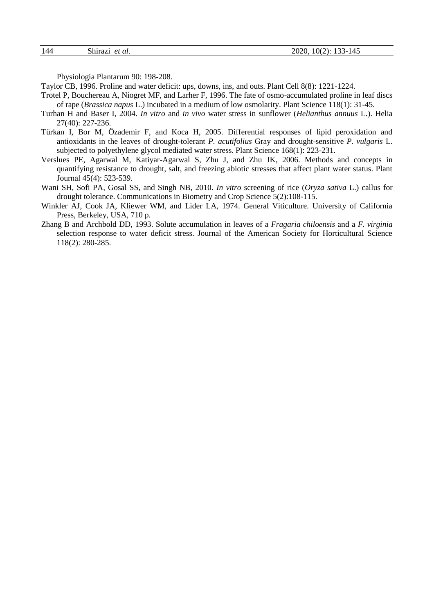| 144 | $\sim$<br>Shirazi<br>`al.<br><i>ot</i><br>$\sim$ | $0(2)$ :<br>2020,<br>. .<br>. .<br>1 J J T<br>ᆠᅮ<br>$\sim$<br>_____<br>___<br>$\sim$ |
|-----|--------------------------------------------------|--------------------------------------------------------------------------------------|
|     |                                                  |                                                                                      |

Physiologia Plantarum 90: 198-208.

Taylor CB, 1996. Proline and water deficit: ups, downs, ins, and outs. Plant Cell 8(8): 1221-1224.

- Trotel P, Bouchereau A, Niogret MF, and Larher F, 1996. The fate of osmo-accumulated proline in leaf discs of rape (*Brassica napus* L.) incubated in a medium of low osmolarity. Plant Science 118(1): 31-45.
- Turhan H and Baser I, 2004. *In vitro* and *in vivo* water stress in sunflower (*Helianthus annuus* L.). Helia 27(40): 227-236.
- Türkan I, Bor M, Özademir F, and Koca H, 2005. Differential responses of lipid peroxidation and antioxidants in the leaves of drought-tolerant *P. acutifolius* Gray and drought-sensitive *P. vulgaris* L. subjected to polyethylene glycol mediated water stress. Plant Science 168(1): 223-231.
- Verslues PE, Agarwal M, Katiyar-Agarwal S, Zhu J, and Zhu JK, 2006. Methods and concepts in quantifying resistance to drought, salt, and freezing abiotic stresses that affect plant water status. Plant Journal 45(4): 523-539.
- Wani SH, Sofi PA, Gosal SS, and Singh NB, 2010. *In vitro* screening of rice (*Oryza sativa* L.) callus for drought tolerance. Communications in Biometry and Crop Science 5(2):108-115.
- Winkler AJ, Cook JA, Kliewer WM, and Lider LA, 1974. General Viticulture. University of California Press, Berkeley, USA, 710 p.
- Zhang B and Archbold DD, 1993. Solute accumulation in leaves of a *Fragaria chiloensis* and a *F. virginia* selection response to water deficit stress. Journal of the American Society for Horticultural Science 118(2): 280-285.